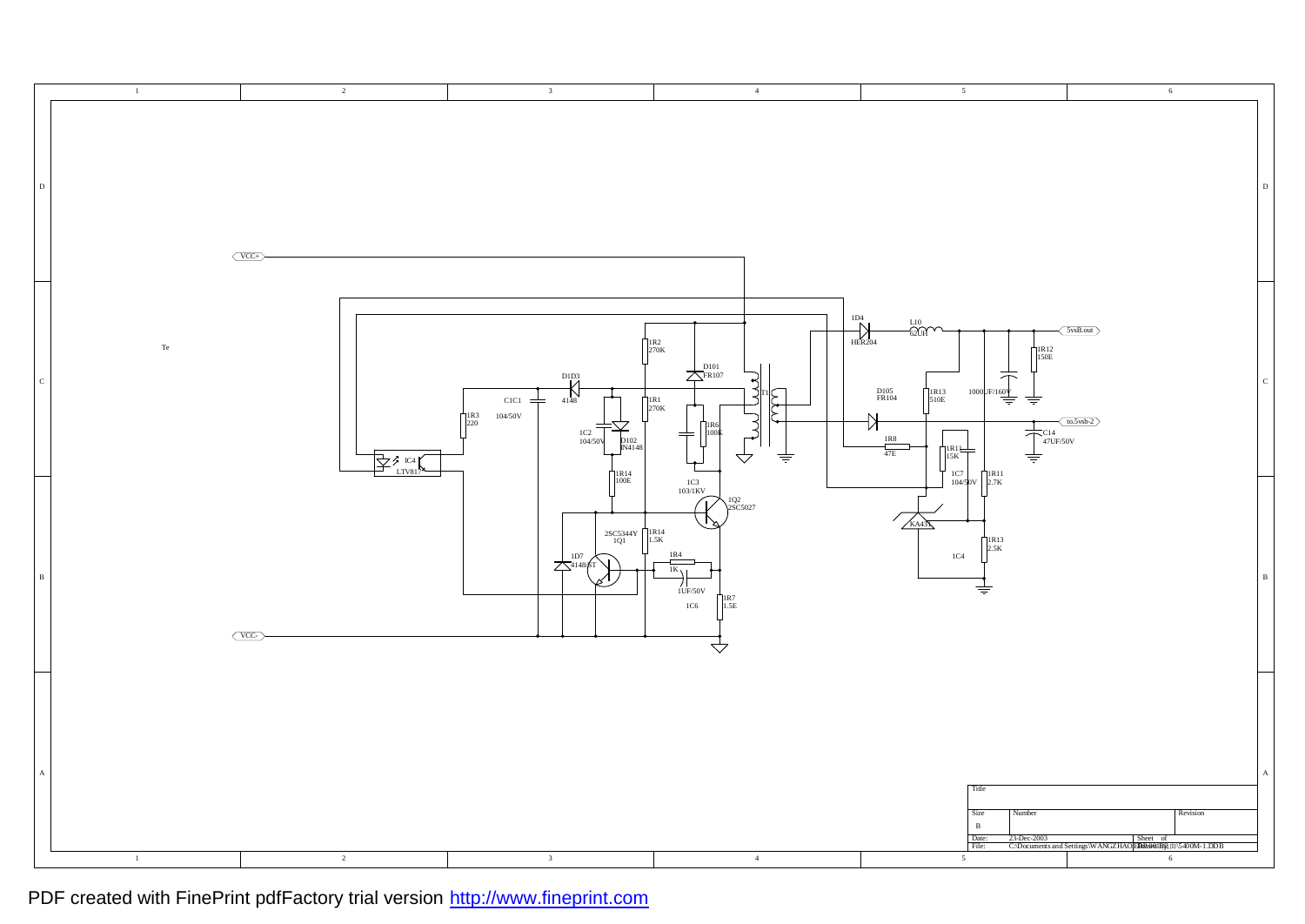

PDF created with FinePrint pdfFactory trial version <http://www.fineprint.com>